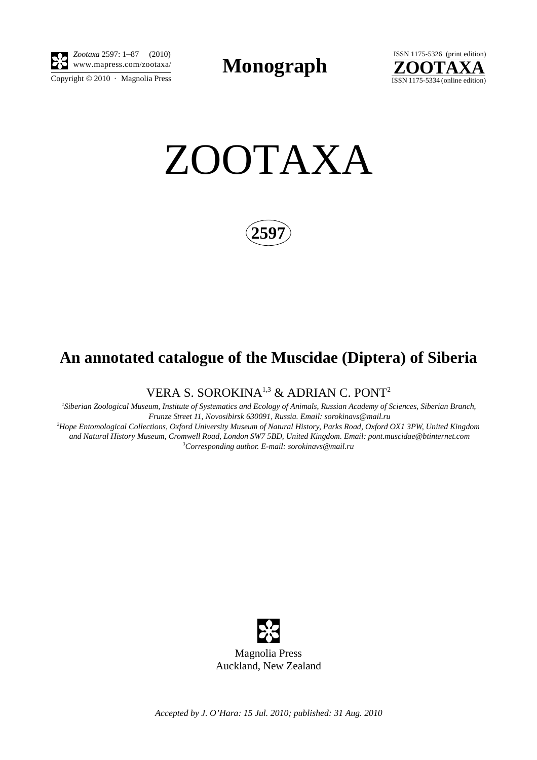

Copyright  $\odot$  2010 · Magnolia Press *Zootaxa* 2597: 1–87 (2010) www.mapress.com/zootaxa/ **Monograph**



ZOOTAXA



## **An annotated catalogue of the Muscidae (Diptera) of Siberia**

VERA S. SOROKINA<sup>1,3</sup> & ADRIAN C. PONT<sup>2</sup>

 *1Siberian Zoological Museum, Institute of Systematics and Ecology of Animals, Russian Academy of Sciences, Siberian Branch, Frunze Street 11, Novosibirsk 630091, Russia. Email: sorokinavs@mail.ru 2 Hope Entomological Collections, Oxford University Museum of Natural History, Parks Road, Oxford OX1 3PW, United Kingdom and Natural History Museum, Cromwell Road, London SW7 5BD, United Kingdom. Email: pont.muscidae@btinternet.com*

*3 Corresponding author. E-mail: sorokinavs@mail.ru*



*Accepted by J. O'Hara: 15 Jul. 2010; published: 31 Aug. 2010*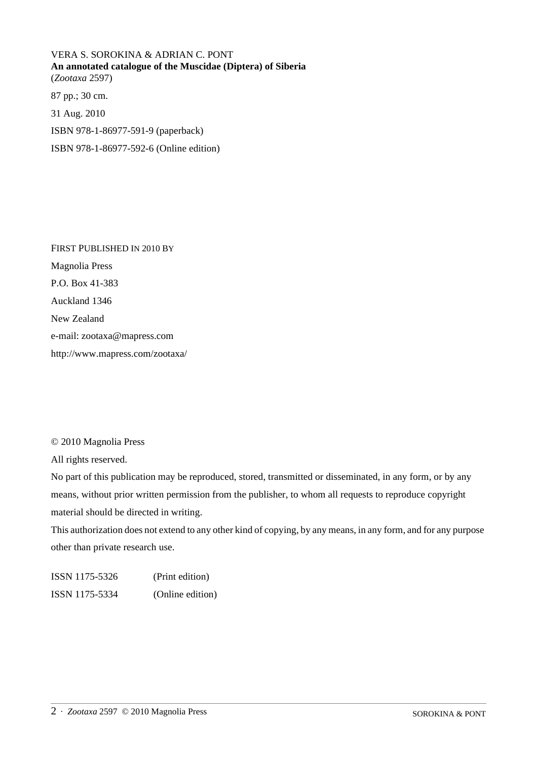VERA S. SOROKINA & ADRIAN C. PONT **An annotated catalogue of the Muscidae (Diptera) of Siberia** (*Zootaxa* 2597) 87 pp.; 30 cm. 31 Aug. 2010

ISBN 978-1-86977-591-9 (paperback)

ISBN 978-1-86977-592-6 (Online edition)

FIRST PUBLISHED IN 2010 BY Magnolia Press P.O. Box 41-383 Auckland 1346 New Zealand e-mail: zootaxa@mapress.com http://www.mapress.com/zootaxa/

## © 2010 Magnolia Press

All rights reserved.

No part of this publication may be reproduced, stored, transmitted or disseminated, in any form, or by any means, without prior written permission from the publisher, to whom all requests to reproduce copyright material should be directed in writing.

This authorization does not extend to any other kind of copying, by any means, in any form, and for any purpose other than private research use.

ISSN 1175-5326 (Print edition) ISSN 1175-5334 (Online edition)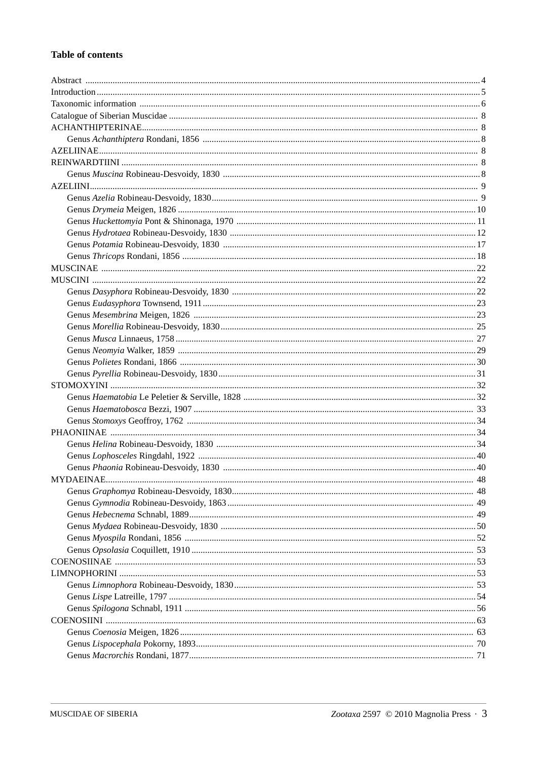## **Table of contents**